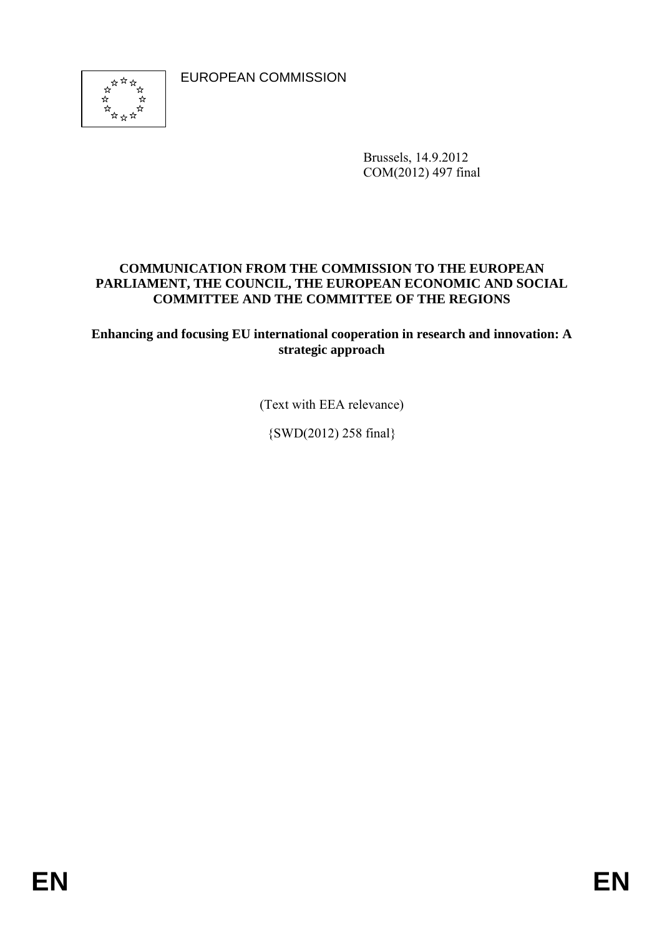EUROPEAN COMMISSION



Brussels, 14.9.2012 COM(2012) 497 final

## **COMMUNICATION FROM THE COMMISSION TO THE EUROPEAN PARLIAMENT, THE COUNCIL, THE EUROPEAN ECONOMIC AND SOCIAL COMMITTEE AND THE COMMITTEE OF THE REGIONS**

**Enhancing and focusing EU international cooperation in research and innovation: A strategic approach** 

(Text with EEA relevance)

{SWD(2012) 258 final}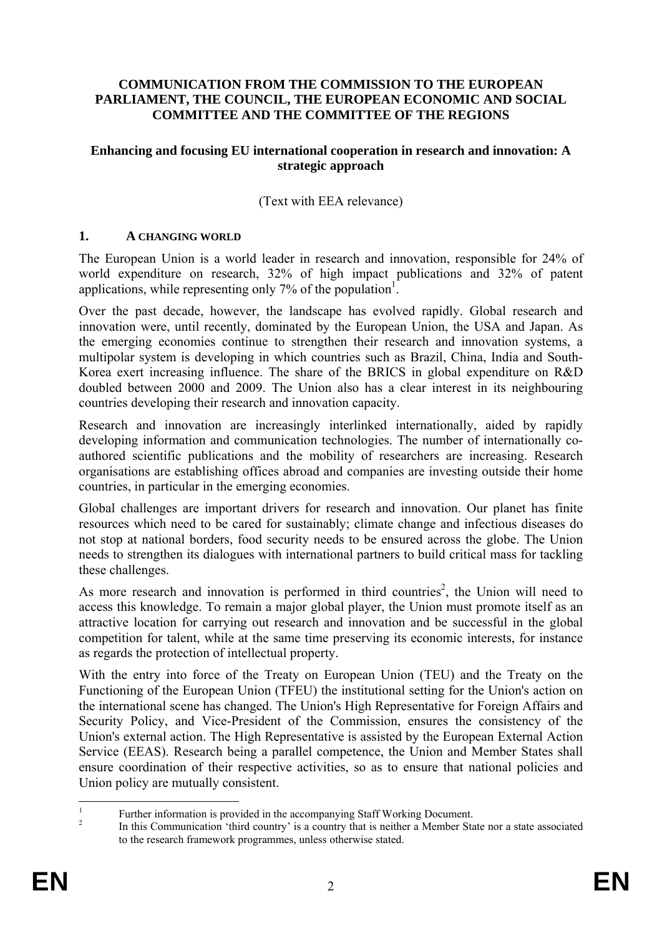#### **COMMUNICATION FROM THE COMMISSION TO THE EUROPEAN PARLIAMENT, THE COUNCIL, THE EUROPEAN ECONOMIC AND SOCIAL COMMITTEE AND THE COMMITTEE OF THE REGIONS**

#### **Enhancing and focusing EU international cooperation in research and innovation: A strategic approach**

### (Text with EEA relevance)

#### **1. A CHANGING WORLD**

The European Union is a world leader in research and innovation, responsible for 24% of world expenditure on research, 32% of high impact publications and 32% of patent applications, while representing only  $7%$  of the population<sup>1</sup>.

Over the past decade, however, the landscape has evolved rapidly. Global research and innovation were, until recently, dominated by the European Union, the USA and Japan. As the emerging economies continue to strengthen their research and innovation systems, a multipolar system is developing in which countries such as Brazil, China, India and South-Korea exert increasing influence. The share of the BRICS in global expenditure on R&D doubled between 2000 and 2009. The Union also has a clear interest in its neighbouring countries developing their research and innovation capacity.

Research and innovation are increasingly interlinked internationally, aided by rapidly developing information and communication technologies. The number of internationally coauthored scientific publications and the mobility of researchers are increasing. Research organisations are establishing offices abroad and companies are investing outside their home countries, in particular in the emerging economies.

Global challenges are important drivers for research and innovation. Our planet has finite resources which need to be cared for sustainably; climate change and infectious diseases do not stop at national borders, food security needs to be ensured across the globe. The Union needs to strengthen its dialogues with international partners to build critical mass for tackling these challenges.

As more research and innovation is performed in third countries<sup>2</sup>, the Union will need to access this knowledge. To remain a major global player, the Union must promote itself as an attractive location for carrying out research and innovation and be successful in the global competition for talent, while at the same time preserving its economic interests, for instance as regards the protection of intellectual property.

With the entry into force of the Treaty on European Union (TEU) and the Treaty on the Functioning of the European Union (TFEU) the institutional setting for the Union's action on the international scene has changed. The Union's High Representative for Foreign Affairs and Security Policy, and Vice-President of the Commission, ensures the consistency of the Union's external action. The High Representative is assisted by the European External Action Service (EEAS). Research being a parallel competence, the Union and Member States shall ensure coordination of their respective activities, so as to ensure that national policies and Union policy are mutually consistent.

 $\frac{1}{1}$ Further information is provided in the accompanying Staff Working Document.

In this Communication 'third country' is a country that is neither a Member State nor a state associated to the research framework programmes, unless otherwise stated.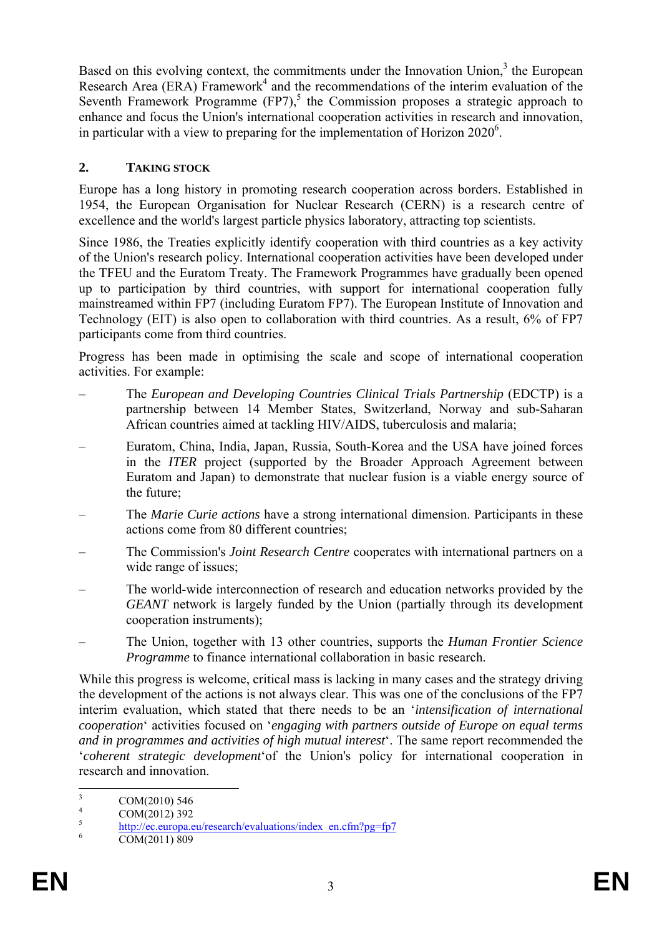Based on this evolving context, the commitments under the Innovation Union, $3$  the European Research Area (ERA) Framework<sup>4</sup> and the recommendations of the interim evaluation of the Seventh Framework Programme  $(FP7)$ ,<sup>5</sup> the Commission proposes a strategic approach to enhance and focus the Union's international cooperation activities in research and innovation, in particular with a view to preparing for the implementation of Horizon  $2020^6$ .

## **2. TAKING STOCK**

Europe has a long history in promoting research cooperation across borders. Established in 1954, the European Organisation for Nuclear Research (CERN) is a research centre of excellence and the world's largest particle physics laboratory, attracting top scientists.

Since 1986, the Treaties explicitly identify cooperation with third countries as a key activity of the Union's research policy. International cooperation activities have been developed under the TFEU and the Euratom Treaty. The Framework Programmes have gradually been opened up to participation by third countries, with support for international cooperation fully mainstreamed within FP7 (including Euratom FP7). The European Institute of Innovation and Technology (EIT) is also open to collaboration with third countries. As a result, 6% of FP7 participants come from third countries.

Progress has been made in optimising the scale and scope of international cooperation activities. For example:

- The *European and Developing Countries Clinical Trials Partnership* (EDCTP) is a partnership between 14 Member States, Switzerland, Norway and sub-Saharan African countries aimed at tackling HIV/AIDS, tuberculosis and malaria;
- Euratom, China, India, Japan, Russia, South-Korea and the USA have joined forces in the *ITER* project (supported by the Broader Approach Agreement between Euratom and Japan) to demonstrate that nuclear fusion is a viable energy source of the future;
- The *Marie Curie actions* have a strong international dimension. Participants in these actions come from 80 different countries;
- The Commission's *Joint Research Centre* cooperates with international partners on a wide range of issues;
- The world-wide interconnection of research and education networks provided by the *GEANT* network is largely funded by the Union (partially through its development cooperation instruments);
- The Union, together with 13 other countries, supports the *Human Frontier Science Programme* to finance international collaboration in basic research.

While this progress is welcome, critical mass is lacking in many cases and the strategy driving the development of the actions is not always clear. This was one of the conclusions of the FP7 interim evaluation, which stated that there needs to be an '*intensification of international cooperation*' activities focused on '*engaging with partners outside of Europe on equal terms and in programmes and activities of high mutual interest*'. The same report recommended the '*coherent strategic development*'of the Union's policy for international cooperation in research and innovation.

 $\frac{1}{3}$  COM(2010) 546 4

 $\frac{4}{5}$  COM(2012) 392

 $\frac{\text{http://ec.europa.eu/research/evaluations/index_en.cfm?pg=fp7}}{\text{COM}(2011)900}$  $\frac{\text{http://ec.europa.eu/research/evaluations/index_en.cfm?pg=fp7}}{\text{COM}(2011)900}$  $\frac{\text{http://ec.europa.eu/research/evaluations/index_en.cfm?pg=fp7}}{\text{COM}(2011)900}$ 

COM(2011) 809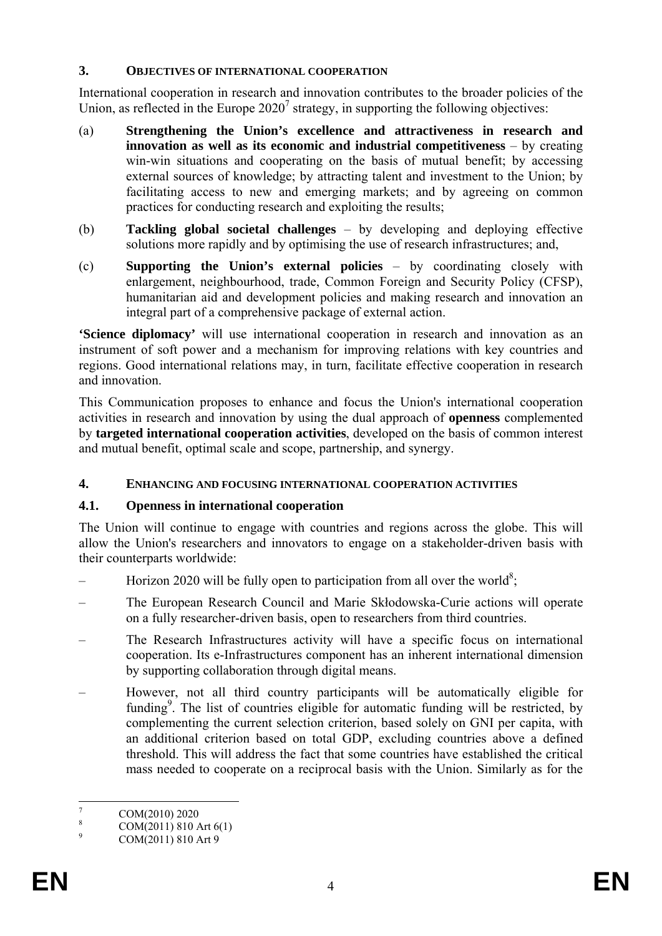### **3. OBJECTIVES OF INTERNATIONAL COOPERATION**

International cooperation in research and innovation contributes to the broader policies of the Union, as reflected in the Europe  $2020^7$  strategy, in supporting the following objectives:

- (a) **Strengthening the Union's excellence and attractiveness in research and innovation as well as its economic and industrial competitiveness** – by creating win-win situations and cooperating on the basis of mutual benefit; by accessing external sources of knowledge; by attracting talent and investment to the Union; by facilitating access to new and emerging markets; and by agreeing on common practices for conducting research and exploiting the results;
- (b) **Tackling global societal challenges** by developing and deploying effective solutions more rapidly and by optimising the use of research infrastructures; and,
- (c) **Supporting the Union's external policies** by coordinating closely with enlargement, neighbourhood, trade, Common Foreign and Security Policy (CFSP), humanitarian aid and development policies and making research and innovation an integral part of a comprehensive package of external action.

**'Science diplomacy'** will use international cooperation in research and innovation as an instrument of soft power and a mechanism for improving relations with key countries and regions. Good international relations may, in turn, facilitate effective cooperation in research and innovation.

This Communication proposes to enhance and focus the Union's international cooperation activities in research and innovation by using the dual approach of **openness** complemented by **targeted international cooperation activities**, developed on the basis of common interest and mutual benefit, optimal scale and scope, partnership, and synergy.

## **4. ENHANCING AND FOCUSING INTERNATIONAL COOPERATION ACTIVITIES**

## **4.1. Openness in international cooperation**

The Union will continue to engage with countries and regions across the globe. This will allow the Union's researchers and innovators to engage on a stakeholder-driven basis with their counterparts worldwide:

- $-$  Horizon 2020 will be fully open to participation from all over the world<sup>8</sup>;
- The European Research Council and Marie Skłodowska-Curie actions will operate on a fully researcher-driven basis, open to researchers from third countries.
- The Research Infrastructures activity will have a specific focus on international cooperation. Its e-Infrastructures component has an inherent international dimension by supporting collaboration through digital means.
- However, not all third country participants will be automatically eligible for funding<sup>9</sup>. The list of countries eligible for automatic funding will be restricted, by complementing the current selection criterion, based solely on GNI per capita, with an additional criterion based on total GDP, excluding countries above a defined threshold. This will address the fact that some countries have established the critical mass needed to cooperate on a reciprocal basis with the Union. Similarly as for the

 $\frac{1}{7}$ COM(2010) 2020

<sup>8</sup> COM(2011) 810 Art 6(1)

<sup>9</sup> COM(2011) 810 Art 9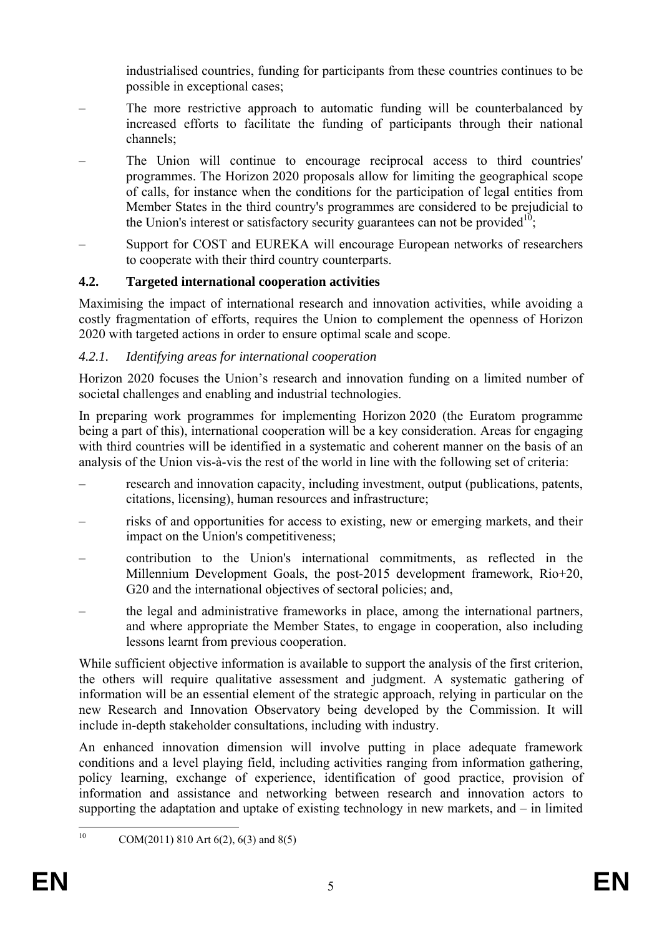industrialised countries, funding for participants from these countries continues to be possible in exceptional cases;

- The more restrictive approach to automatic funding will be counterbalanced by increased efforts to facilitate the funding of participants through their national channels;
- The Union will continue to encourage reciprocal access to third countries' programmes. The Horizon 2020 proposals allow for limiting the geographical scope of calls, for instance when the conditions for the participation of legal entities from Member States in the third country's programmes are considered to be prejudicial to the Union's interest or satisfactory security guarantees can not be provided<sup>10</sup>;
- Support for COST and EUREKA will encourage European networks of researchers to cooperate with their third country counterparts.

# **4.2. Targeted international cooperation activities**

Maximising the impact of international research and innovation activities, while avoiding a costly fragmentation of efforts, requires the Union to complement the openness of Horizon 2020 with targeted actions in order to ensure optimal scale and scope.

## *4.2.1. Identifying areas for international cooperation*

Horizon 2020 focuses the Union's research and innovation funding on a limited number of societal challenges and enabling and industrial technologies.

In preparing work programmes for implementing Horizon 2020 (the Euratom programme being a part of this), international cooperation will be a key consideration. Areas for engaging with third countries will be identified in a systematic and coherent manner on the basis of an analysis of the Union vis-à-vis the rest of the world in line with the following set of criteria:

- research and innovation capacity, including investment, output (publications, patents, citations, licensing), human resources and infrastructure;
- risks of and opportunities for access to existing, new or emerging markets, and their impact on the Union's competitiveness;
- contribution to the Union's international commitments, as reflected in the Millennium Development Goals, the post-2015 development framework, Rio+20, G20 and the international objectives of sectoral policies; and,
- the legal and administrative frameworks in place, among the international partners, and where appropriate the Member States, to engage in cooperation, also including lessons learnt from previous cooperation.

While sufficient objective information is available to support the analysis of the first criterion, the others will require qualitative assessment and judgment. A systematic gathering of information will be an essential element of the strategic approach, relying in particular on the new Research and Innovation Observatory being developed by the Commission. It will include in-depth stakeholder consultations, including with industry.

An enhanced innovation dimension will involve putting in place adequate framework conditions and a level playing field, including activities ranging from information gathering, policy learning, exchange of experience, identification of good practice, provision of information and assistance and networking between research and innovation actors to supporting the adaptation and uptake of existing technology in new markets, and – in limited

 $10$ 

COM(2011) 810 Art 6(2), 6(3) and 8(5)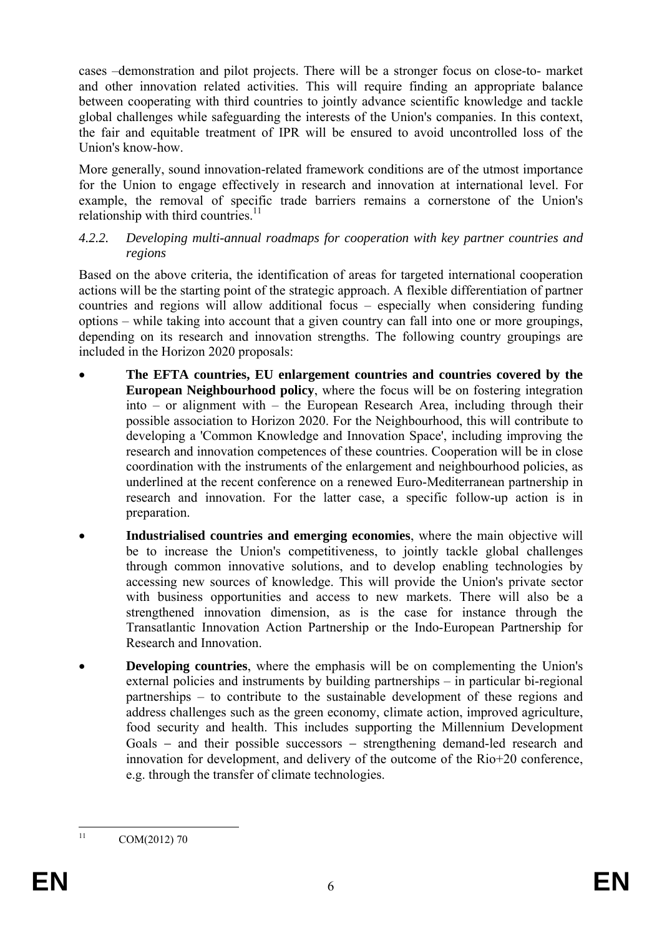cases –demonstration and pilot projects. There will be a stronger focus on close-to- market and other innovation related activities. This will require finding an appropriate balance between cooperating with third countries to jointly advance scientific knowledge and tackle global challenges while safeguarding the interests of the Union's companies. In this context, the fair and equitable treatment of IPR will be ensured to avoid uncontrolled loss of the Union's know-how.

More generally, sound innovation-related framework conditions are of the utmost importance for the Union to engage effectively in research and innovation at international level. For example, the removal of specific trade barriers remains a cornerstone of the Union's relationship with third countries. $11$ 

### *4.2.2. Developing multi-annual roadmaps for cooperation with key partner countries and regions*

Based on the above criteria, the identification of areas for targeted international cooperation actions will be the starting point of the strategic approach. A flexible differentiation of partner countries and regions will allow additional focus – especially when considering funding options – while taking into account that a given country can fall into one or more groupings, depending on its research and innovation strengths. The following country groupings are included in the Horizon 2020 proposals:

- **The EFTA countries, EU enlargement countries and countries covered by the European Neighbourhood policy**, where the focus will be on fostering integration into – or alignment with – the European Research Area, including through their possible association to Horizon 2020. For the Neighbourhood, this will contribute to developing a 'Common Knowledge and Innovation Space', including improving the research and innovation competences of these countries. Cooperation will be in close coordination with the instruments of the enlargement and neighbourhood policies, as underlined at the recent conference on a renewed Euro-Mediterranean partnership in research and innovation. For the latter case, a specific follow-up action is in preparation.
- **Industrialised countries and emerging economies**, where the main objective will be to increase the Union's competitiveness, to jointly tackle global challenges through common innovative solutions, and to develop enabling technologies by accessing new sources of knowledge. This will provide the Union's private sector with business opportunities and access to new markets. There will also be a strengthened innovation dimension, as is the case for instance through the Transatlantic Innovation Action Partnership or the Indo-European Partnership for Research and Innovation.
- **Developing countries**, where the emphasis will be on complementing the Union's external policies and instruments by building partnerships – in particular bi-regional partnerships – to contribute to the sustainable development of these regions and address challenges such as the green economy, climate action, improved agriculture, food security and health. This includes supporting the Millennium Development Goals – and their possible successors – strengthening demand-led research and innovation for development, and delivery of the outcome of the Rio+20 conference, e.g. through the transfer of climate technologies.

 $11$ 

COM(2012) 70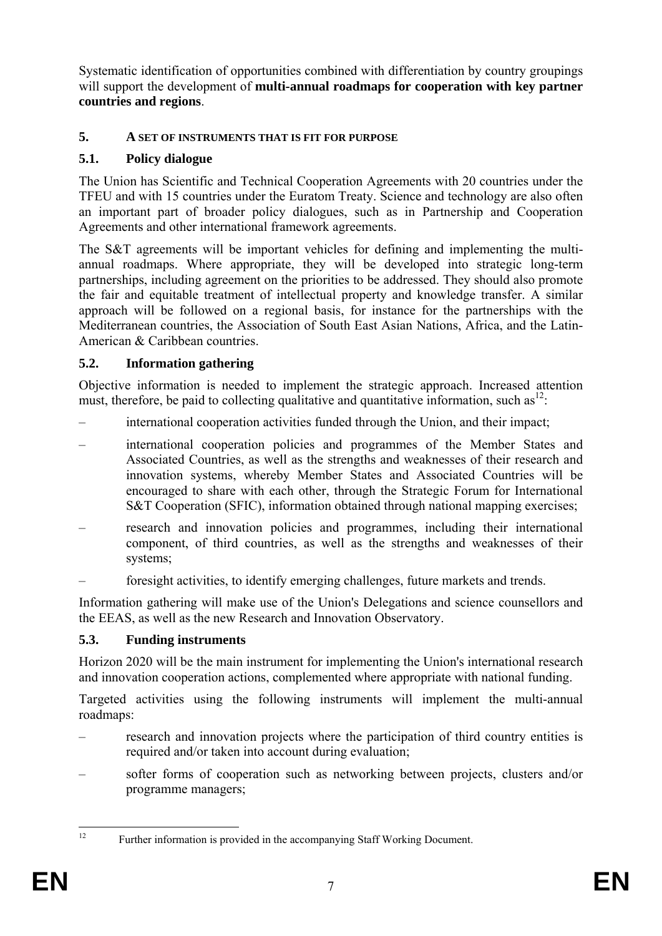Systematic identification of opportunities combined with differentiation by country groupings will support the development of **multi-annual roadmaps for cooperation with key partner countries and regions**.

# **5. A SET OF INSTRUMENTS THAT IS FIT FOR PURPOSE**

## **5.1. Policy dialogue**

The Union has Scientific and Technical Cooperation Agreements with 20 countries under the TFEU and with 15 countries under the Euratom Treaty. Science and technology are also often an important part of broader policy dialogues, such as in Partnership and Cooperation Agreements and other international framework agreements.

The S&T agreements will be important vehicles for defining and implementing the multiannual roadmaps. Where appropriate, they will be developed into strategic long-term partnerships, including agreement on the priorities to be addressed. They should also promote the fair and equitable treatment of intellectual property and knowledge transfer. A similar approach will be followed on a regional basis, for instance for the partnerships with the Mediterranean countries, the Association of South East Asian Nations, Africa, and the Latin-American & Caribbean countries.

## **5.2. Information gathering**

Objective information is needed to implement the strategic approach. Increased attention must, therefore, be paid to collecting qualitative and quantitative information, such  $as^{12}$ .

- international cooperation activities funded through the Union, and their impact;
- international cooperation policies and programmes of the Member States and Associated Countries, as well as the strengths and weaknesses of their research and innovation systems, whereby Member States and Associated Countries will be encouraged to share with each other, through the Strategic Forum for International S&T Cooperation (SFIC), information obtained through national mapping exercises;
- research and innovation policies and programmes, including their international component, of third countries, as well as the strengths and weaknesses of their systems;
- foresight activities, to identify emerging challenges, future markets and trends.

Information gathering will make use of the Union's Delegations and science counsellors and the EEAS, as well as the new Research and Innovation Observatory.

## **5.3. Funding instruments**

Horizon 2020 will be the main instrument for implementing the Union's international research and innovation cooperation actions, complemented where appropriate with national funding.

Targeted activities using the following instruments will implement the multi-annual roadmaps:

- research and innovation projects where the participation of third country entities is required and/or taken into account during evaluation:
- softer forms of cooperation such as networking between projects, clusters and/or programme managers;

 $12$ 

Further information is provided in the accompanying Staff Working Document.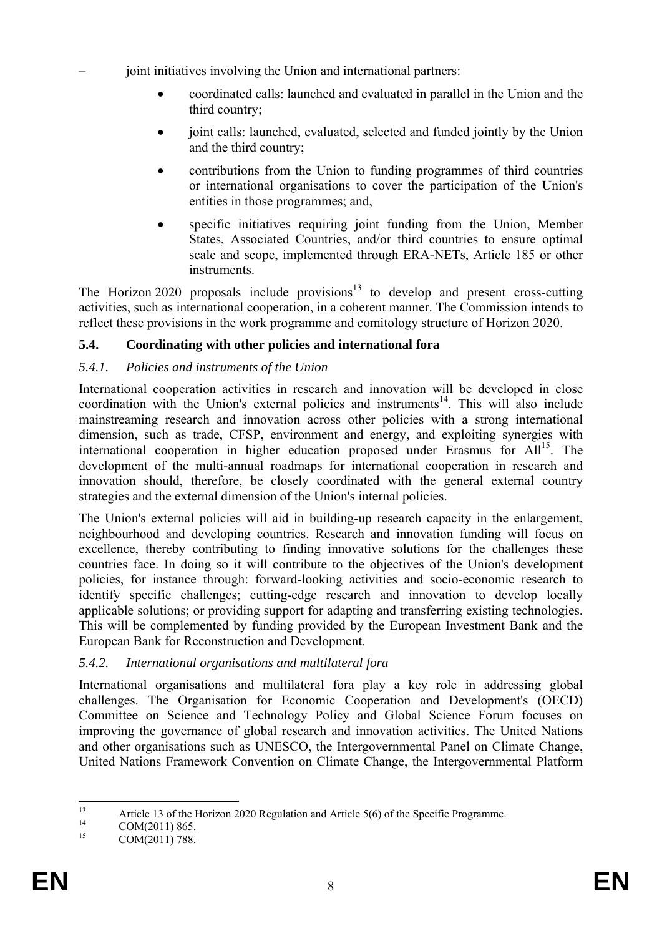– joint initiatives involving the Union and international partners:

- coordinated calls: launched and evaluated in parallel in the Union and the third country;
- joint calls: launched, evaluated, selected and funded jointly by the Union and the third country;
- contributions from the Union to funding programmes of third countries or international organisations to cover the participation of the Union's entities in those programmes; and,
- specific initiatives requiring joint funding from the Union, Member States, Associated Countries, and/or third countries to ensure optimal scale and scope, implemented through ERA-NETs, Article 185 or other instruments.

The Horizon 2020 proposals include provisions<sup>13</sup> to develop and present cross-cutting activities, such as international cooperation, in a coherent manner. The Commission intends to reflect these provisions in the work programme and comitology structure of Horizon 2020.

# **5.4. Coordinating with other policies and international fora**

## *5.4.1. Policies and instruments of the Union*

International cooperation activities in research and innovation will be developed in close coordination with the Union's external policies and instruments<sup>14</sup>. This will also include mainstreaming research and innovation across other policies with a strong international dimension, such as trade, CFSP, environment and energy, and exploiting synergies with international cooperation in higher education proposed under Erasmus for All<sup>15</sup>. The development of the multi-annual roadmaps for international cooperation in research and innovation should, therefore, be closely coordinated with the general external country strategies and the external dimension of the Union's internal policies.

The Union's external policies will aid in building-up research capacity in the enlargement, neighbourhood and developing countries. Research and innovation funding will focus on excellence, thereby contributing to finding innovative solutions for the challenges these countries face. In doing so it will contribute to the objectives of the Union's development policies, for instance through: forward-looking activities and socio-economic research to identify specific challenges; cutting-edge research and innovation to develop locally applicable solutions; or providing support for adapting and transferring existing technologies. This will be complemented by funding provided by the European Investment Bank and the European Bank for Reconstruction and Development.

# *5.4.2. International organisations and multilateral fora*

International organisations and multilateral fora play a key role in addressing global challenges. The Organisation for Economic Cooperation and Development's (OECD) Committee on Science and Technology Policy and Global Science Forum focuses on improving the governance of global research and innovation activities. The United Nations and other organisations such as UNESCO, the Intergovernmental Panel on Climate Change, United Nations Framework Convention on Climate Change, the Intergovernmental Platform

 $\overline{13}$ <sup>13</sup> Article 13 of the Horizon 2020 Regulation and Article 5(6) of the Specific Programme.

<sup>&</sup>lt;sup>14</sup> COM(2011) 865.

COM(2011) 788.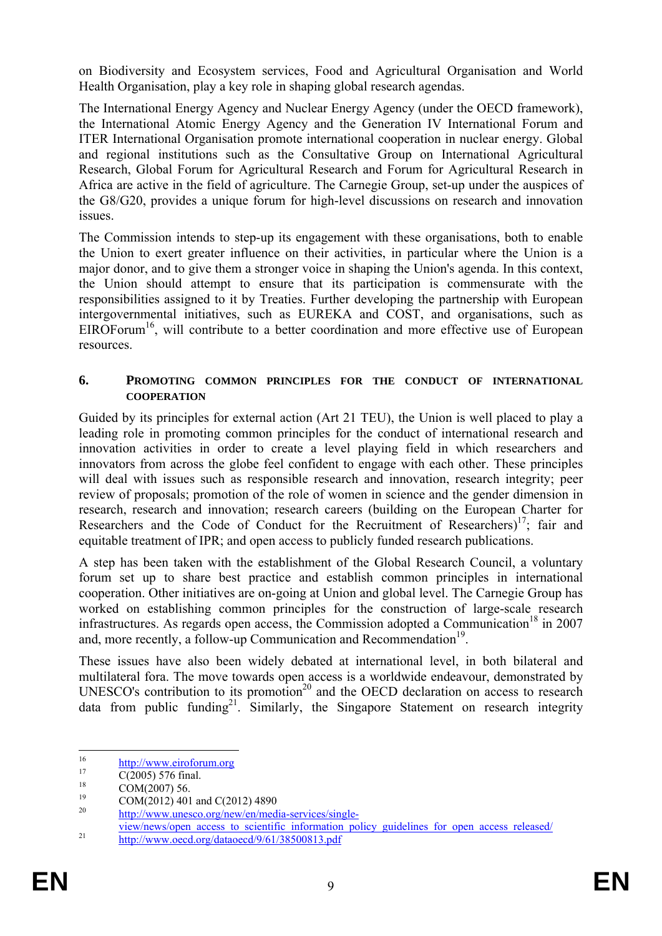on Biodiversity and Ecosystem services, Food and Agricultural Organisation and World Health Organisation, play a key role in shaping global research agendas.

The International Energy Agency and Nuclear Energy Agency (under the OECD framework), the International Atomic Energy Agency and the Generation IV International Forum and ITER International Organisation promote international cooperation in nuclear energy. Global and regional institutions such as the Consultative Group on International Agricultural Research, Global Forum for Agricultural Research and Forum for Agricultural Research in Africa are active in the field of agriculture. The Carnegie Group, set-up under the auspices of the G8/G20, provides a unique forum for high-level discussions on research and innovation issues.

The Commission intends to step-up its engagement with these organisations, both to enable the Union to exert greater influence on their activities, in particular where the Union is a major donor, and to give them a stronger voice in shaping the Union's agenda. In this context, the Union should attempt to ensure that its participation is commensurate with the responsibilities assigned to it by Treaties. Further developing the partnership with European intergovernmental initiatives, such as EUREKA and COST, and organisations, such as  $EIROForum<sup>16</sup>$ , will contribute to a better coordination and more effective use of European resources.

#### **6. PROMOTING COMMON PRINCIPLES FOR THE CONDUCT OF INTERNATIONAL COOPERATION**

Guided by its principles for external action (Art 21 TEU), the Union is well placed to play a leading role in promoting common principles for the conduct of international research and innovation activities in order to create a level playing field in which researchers and innovators from across the globe feel confident to engage with each other. These principles will deal with issues such as responsible research and innovation, research integrity; peer review of proposals; promotion of the role of women in science and the gender dimension in research, research and innovation; research careers (building on the European Charter for Researchers and the Code of Conduct for the Recruitment of Researchers)<sup>17</sup>; fair and equitable treatment of IPR; and open access to publicly funded research publications.

A step has been taken with the establishment of the Global Research Council, a voluntary forum set up to share best practice and establish common principles in international cooperation. Other initiatives are on-going at Union and global level. The Carnegie Group has worked on establishing common principles for the construction of large-scale research infrastructures. As regards open access, the Commission adopted a Communication<sup>18</sup> in 2007 and, more recently, a follow-up Communication and Recommendation<sup>19</sup>.

These issues have also been widely debated at international level, in both bilateral and multilateral fora. The move towards open access is a worldwide endeavour, demonstrated by UNESCO's contribution to its promotion<sup>20</sup> and the OECD declaration on access to research data from public funding<sup>21</sup>. Similarly, the Singapore Statement on research integrity

[http://www.unesco.org/new/en/media-services/single-](http://www.unesco.org/new/en/media-services/single-view/news/open_access_to_scientific_information_policy_guidelines_for_open_access_released/)

<sup>16</sup> <sup>16</sup> [http://w](http://www.eiroforum.org/)ww.eiroforum.org<br> [C\(2005](http://www.eiroforum.org/)) 576 final.

 $^{18}$  COM(2007) 56.

 $19$  COM(2012) 401 and C(2012) 4890

view/news/open\_access\_to\_scientific\_information\_policy\_guidelines\_for\_open\_access\_released/<br>http://www.oecd.org/dataoecd/9/61/38500813.pdf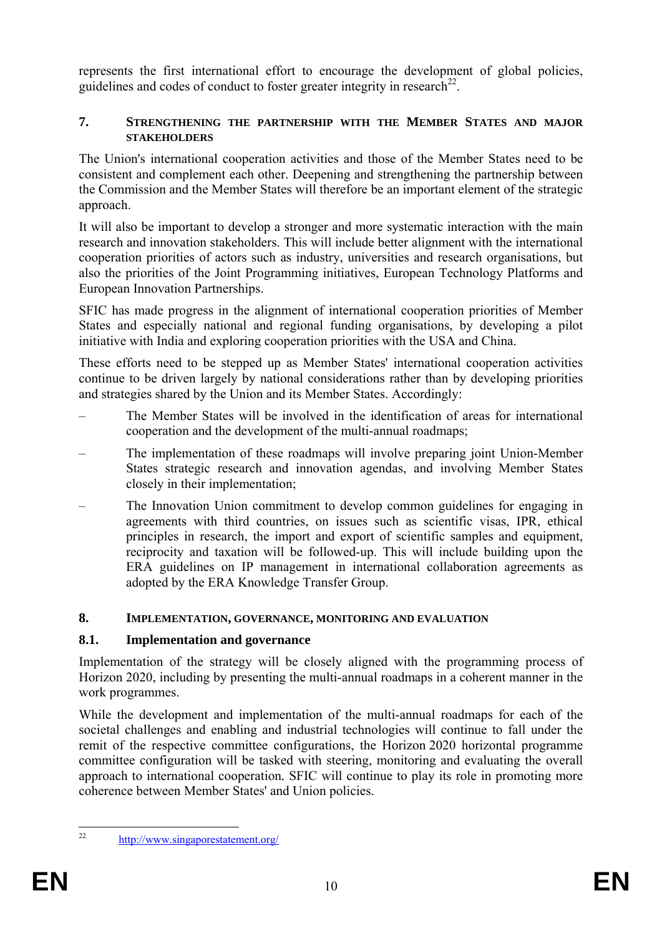represents the first international effort to encourage the development of global policies, guidelines and codes of conduct to foster greater integrity in research<sup>22</sup>.

### **7. STRENGTHENING THE PARTNERSHIP WITH THE MEMBER STATES AND MAJOR STAKEHOLDERS**

The Union's international cooperation activities and those of the Member States need to be consistent and complement each other. Deepening and strengthening the partnership between the Commission and the Member States will therefore be an important element of the strategic approach.

It will also be important to develop a stronger and more systematic interaction with the main research and innovation stakeholders. This will include better alignment with the international cooperation priorities of actors such as industry, universities and research organisations, but also the priorities of the Joint Programming initiatives, European Technology Platforms and European Innovation Partnerships.

SFIC has made progress in the alignment of international cooperation priorities of Member States and especially national and regional funding organisations, by developing a pilot initiative with India and exploring cooperation priorities with the USA and China.

These efforts need to be stepped up as Member States' international cooperation activities continue to be driven largely by national considerations rather than by developing priorities and strategies shared by the Union and its Member States. Accordingly:

- The Member States will be involved in the identification of areas for international cooperation and the development of the multi-annual roadmaps;
- The implementation of these roadmaps will involve preparing joint Union-Member States strategic research and innovation agendas, and involving Member States closely in their implementation;
- The Innovation Union commitment to develop common guidelines for engaging in agreements with third countries, on issues such as scientific visas, IPR, ethical principles in research, the import and export of scientific samples and equipment, reciprocity and taxation will be followed-up. This will include building upon the ERA guidelines on IP management in international collaboration agreements as adopted by the ERA Knowledge Transfer Group.

## **8. IMPLEMENTATION, GOVERNANCE, MONITORING AND EVALUATION**

# **8.1. Implementation and governance**

Implementation of the strategy will be closely aligned with the programming process of Horizon 2020, including by presenting the multi-annual roadmaps in a coherent manner in the work programmes.

While the development and implementation of the multi-annual roadmaps for each of the societal challenges and enabling and industrial technologies will continue to fall under the remit of the respective committee configurations, the Horizon 2020 horizontal programme committee configuration will be tasked with steering, monitoring and evaluating the overall approach to international cooperation*.* SFIC will continue to play its role in promoting more coherence between Member States' and Union policies.

 $22$ 

http://www.singaporestatement.org/